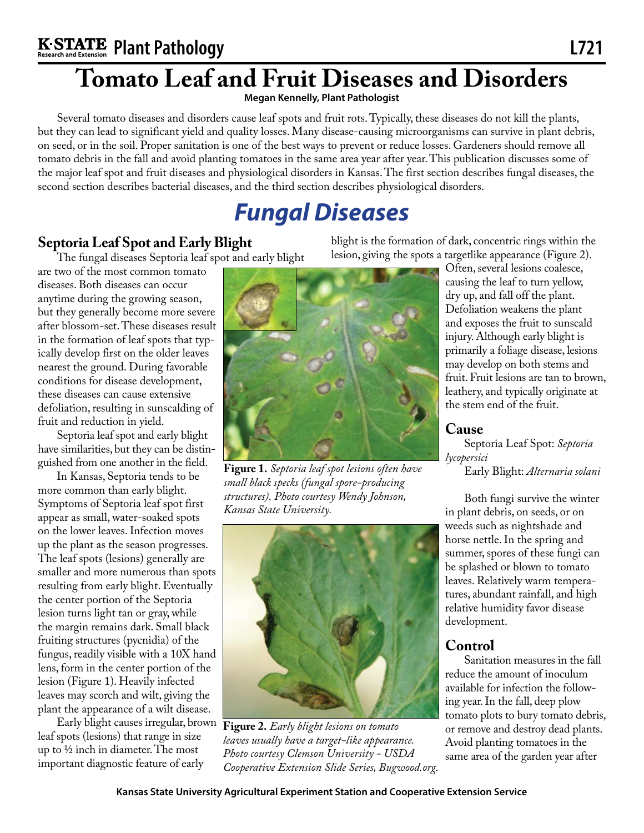# **Tomato Leaf and Fruit Diseases and Disorders**

**Megan Kennelly, Plant Pathologist**

Several tomato diseases and disorders cause leaf spots and fruit rots. Typically, these diseases do not kill the plants, but they can lead to significant yield and quality losses. Many disease-causing microorganisms can survive in plant debris, on seed, or in the soil. Proper sanitation is one of the best ways to prevent or reduce losses. Gardeners should remove all tomato debris in the fall and avoid planting tomatoes in the same area year after year. This publication discusses some of the major leaf spot and fruit diseases and physiological disorders in Kansas. The first section describes fungal diseases, the second section describes bacterial diseases, and the third section describes physiological disorders.

# *Fungal Diseases*

## **Septoria Leaf Spot and Early Blight**

The fungal diseases Septoria leaf spot and early blight

are two of the most common tomato diseases. Both diseases can occur anytime during the growing season, but they generally become more severe after blossom-set. These diseases result in the formation of leaf spots that typically develop first on the older leaves nearest the ground. During favorable conditions for disease development, these diseases can cause extensive defoliation, resulting in sunscalding of fruit and reduction in yield.

Septoria leaf spot and early blight have similarities, but they can be distinguished from one another in the field.

In Kansas, Septoria tends to be more common than early blight. Symptoms of Septoria leaf spot first appear as small, water-soaked spots on the lower leaves. Infection moves up the plant as the season progresses. The leaf spots (lesions) generally are smaller and more numerous than spots resulting from early blight. Eventually the center portion of the Septoria lesion turns light tan or gray, while the margin remains dark. Small black fruiting structures (pycnidia) of the fungus, readily visible with a 10X hand lens, form in the center portion of the lesion (Figure 1). Heavily infected leaves may scorch and wilt, giving the plant the appearance of a wilt disease.

leaf spots (lesions) that range in size up to ½ inch in diameter. The most important diagnostic feature of early



**Figure 1.** *Septoria leaf spot lesions often have small black specks (fungal spore-producing structures). Photo courtesy Wendy Johnson, Kansas State University.*



Early blight causes irregular, brown **Figure 2.** *Early blight lesions on tomato leaves usually have a target-like appearance. Photo courtesy Clemson University - USDA Cooperative Extension Slide Series, Bugwood.org.*

blight is the formation of dark, concentric rings within the lesion, giving the spots a targetlike appearance (Figure 2).

> Often, several lesions coalesce, causing the leaf to turn yellow, dry up, and fall off the plant. Defoliation weakens the plant and exposes the fruit to sunscald injury. Although early blight is primarily a foliage disease, lesions may develop on both stems and fruit. Fruit lesions are tan to brown, leathery, and typically originate at the stem end of the fruit.

#### **Cause**

Septoria Leaf Spot: *Septoria lycopersici*

Early Blight: *Alternaria solani*

Both fungi survive the winter in plant debris, on seeds, or on weeds such as nightshade and horse nettle. In the spring and summer, spores of these fungi can be splashed or blown to tomato leaves. Relatively warm temperatures, abundant rainfall, and high relative humidity favor disease development.

## **Control**

Sanitation measures in the fall reduce the amount of inoculum available for infection the following year. In the fall, deep plow tomato plots to bury tomato debris, or remove and destroy dead plants. Avoid planting tomatoes in the same area of the garden year after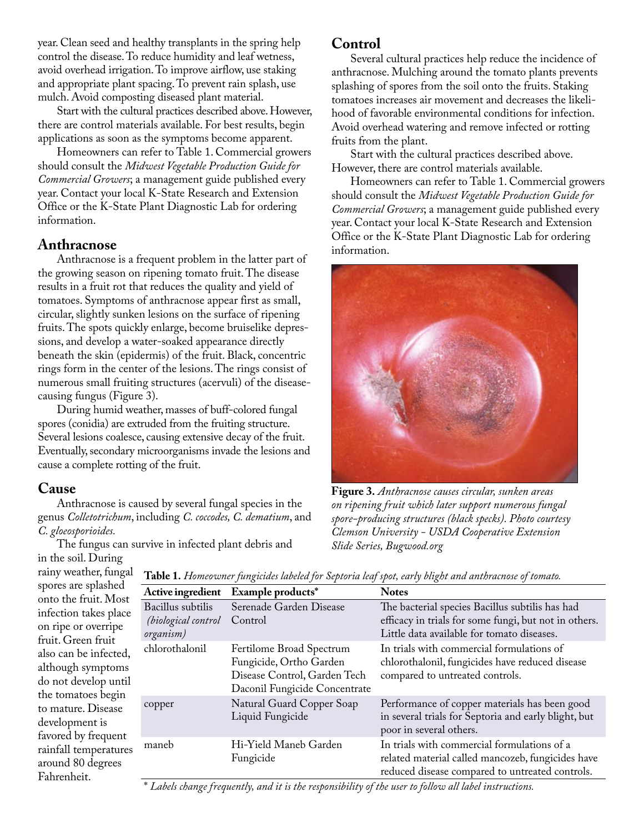year. Clean seed and healthy transplants in the spring help control the disease. To reduce humidity and leaf wetness, avoid overhead irrigation. To improve airflow, use staking and appropriate plant spacing. To prevent rain splash, use mulch. Avoid composting diseased plant material.

Start with the cultural practices described above. However, there are control materials available. For best results, begin applications as soon as the symptoms become apparent.

Homeowners can refer to Table 1. Commercial growers should consult the *Midwest Vegetable Production Guide for Commercial Growers*; a management guide published every year. Contact your local K-State Research and Extension Office or the K-State Plant Diagnostic Lab for ordering information.

#### **Anthracnose**

Anthracnose is a frequent problem in the latter part of the growing season on ripening tomato fruit. The disease results in a fruit rot that reduces the quality and yield of tomatoes. Symptoms of anthracnose appear first as small, circular, slightly sunken lesions on the surface of ripening fruits. The spots quickly enlarge, become bruiselike depressions, and develop a water-soaked appearance directly beneath the skin (epidermis) of the fruit. Black, concentric rings form in the center of the lesions. The rings consist of numerous small fruiting structures (acervuli) of the diseasecausing fungus (Figure 3).

During humid weather, masses of buff-colored fungal spores (conidia) are extruded from the fruiting structure. Several lesions coalesce, causing extensive decay of the fruit. Eventually, secondary microorganisms invade the lesions and cause a complete rotting of the fruit.

#### **Cause**

Anthracnose is caused by several fungal species in the genus *Colletotrichum*, including *C. coccodes, C. dematium*, and *C. gloeosporioides.*

The fungus can survive in infected plant debris and

**Control**

Several cultural practices help reduce the incidence of anthracnose. Mulching around the tomato plants prevents splashing of spores from the soil onto the fruits. Staking tomatoes increases air movement and decreases the likelihood of favorable environmental conditions for infection. Avoid overhead watering and remove infected or rotting fruits from the plant.

Start with the cultural practices described above. However, there are control materials available.

Homeowners can refer to Table 1. Commercial growers should consult the *Midwest Vegetable Production Guide for Commercial Growers*; a management guide published every year. Contact your local K-State Research and Extension Office or the K-State Plant Diagnostic Lab for ordering information.



**Figure 3.** *Anthracnose causes circular, sunken areas on ripening fruit which later support numerous fungal spore-producing structures (black specks). Photo courtesy Clemson University - USDA Cooperative Extension Slide Series, Bugwood.org*

in the soil. During rainy weather, fungal spores are splashed onto the fruit. Most infection takes place on ripe or overripe fruit. Green fruit also can be infected, although symptoms do not develop until the tomatoes begin to mature. Disease development is favored by frequent rainfall temperatures around 80 degrees Fahrenheit.

**Table 1.** *Homeowner fungicides labeled for Septoria leaf spot, early blight and anthracnose of tomato.*

| Active ingredient                                            | Example products*                                                                                                    | <b>Notes</b>                                                                                                                                           |
|--------------------------------------------------------------|----------------------------------------------------------------------------------------------------------------------|--------------------------------------------------------------------------------------------------------------------------------------------------------|
| Bacillus subtilis<br><i>(biological control</i><br>organism) | Serenade Garden Disease<br>Control                                                                                   | The bacterial species Bacillus subtilis has had<br>efficacy in trials for some fungi, but not in others.<br>Little data available for tomato diseases. |
| chlorothalonil                                               | Fertilome Broad Spectrum<br>Fungicide, Ortho Garden<br>Disease Control, Garden Tech<br>Daconil Fungicide Concentrate | In trials with commercial formulations of<br>chlorothalonil, fungicides have reduced disease<br>compared to untreated controls.                        |
| copper                                                       | Natural Guard Copper Soap<br>Liquid Fungicide                                                                        | Performance of copper materials has been good<br>in several trials for Septoria and early blight, but<br>poor in several others.                       |
| maneb                                                        | Hi-Yield Maneb Garden<br>Fungicide                                                                                   | In trials with commercial formulations of a<br>related material called mancozeb, fungicides have<br>reduced disease compared to untreated controls.    |

\* *Labels change frequently, and it is the responsibility of the user to follow all label instructions.*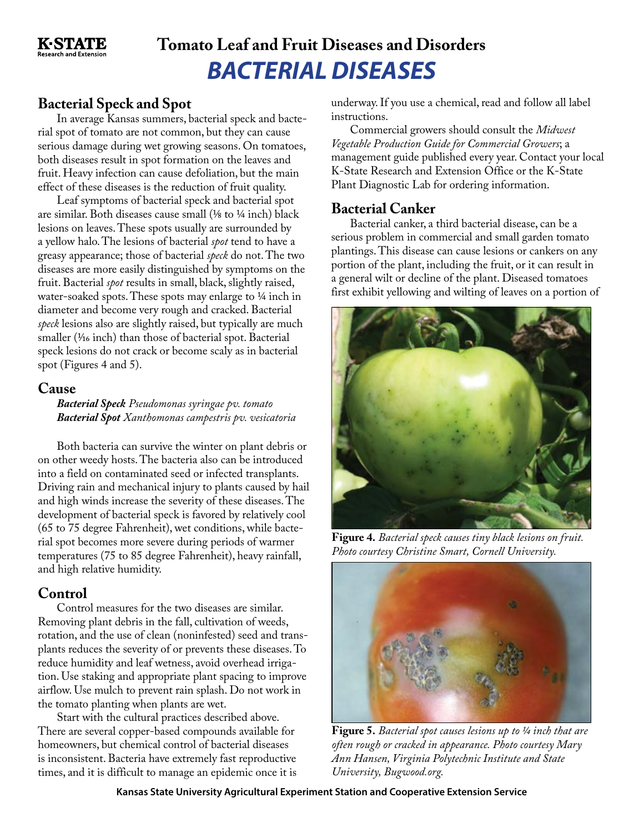

## *BACTERIAL DISEASES* **Tomato Leaf and Fruit Diseases and Disorders**

## **Bacterial Speck and Spot**

In average Kansas summers, bacterial speck and bacterial spot of tomato are not common, but they can cause serious damage during wet growing seasons. On tomatoes, both diseases result in spot formation on the leaves and fruit. Heavy infection can cause defoliation, but the main effect of these diseases is the reduction of fruit quality.

Leaf symptoms of bacterial speck and bacterial spot are similar. Both diseases cause small (⅛ to ¼ inch) black lesions on leaves. These spots usually are surrounded by a yellow halo. The lesions of bacterial *spot* tend to have a greasy appearance; those of bacterial *speck* do not. The two diseases are more easily distinguished by symptoms on the fruit. Bacterial *spot* results in small, black, slightly raised, water-soaked spots. These spots may enlarge to  $\frac{1}{4}$  inch in diameter and become very rough and cracked. Bacterial *speck* lesions also are slightly raised, but typically are much smaller ( $\frac{1}{16}$  inch) than those of bacterial spot. Bacterial speck lesions do not crack or become scaly as in bacterial spot (Figures 4 and 5).

#### **Cause**

*Bacterial Speck Pseudomonas syringae pv. tomato Bacterial Spot Xanthomonas campestris pv. vesicatoria*

Both bacteria can survive the winter on plant debris or on other weedy hosts. The bacteria also can be introduced into a field on contaminated seed or infected transplants. Driving rain and mechanical injury to plants caused by hail and high winds increase the severity of these diseases. The development of bacterial speck is favored by relatively cool (65 to 75 degree Fahrenheit), wet conditions, while bacterial spot becomes more severe during periods of warmer temperatures (75 to 85 degree Fahrenheit), heavy rainfall, and high relative humidity.

### **Control**

Control measures for the two diseases are similar. Removing plant debris in the fall, cultivation of weeds, rotation, and the use of clean (noninfested) seed and transplants reduces the severity of or prevents these diseases. To reduce humidity and leaf wetness, avoid overhead irrigation. Use staking and appropriate plant spacing to improve airflow. Use mulch to prevent rain splash. Do not work in the tomato planting when plants are wet.

Start with the cultural practices described above. There are several copper-based compounds available for homeowners, but chemical control of bacterial diseases is inconsistent. Bacteria have extremely fast reproductive times, and it is difficult to manage an epidemic once it is underway. If you use a chemical, read and follow all label instructions.

Commercial growers should consult the *Midwest Vegetable Production Guide for Commercial Growers*; a management guide published every year. Contact your local K-State Research and Extension Office or the K-State Plant Diagnostic Lab for ordering information.

#### **Bacterial Canker**

Bacterial canker, a third bacterial disease, can be a serious problem in commercial and small garden tomato plantings. This disease can cause lesions or cankers on any portion of the plant, including the fruit, or it can result in a general wilt or decline of the plant. Diseased tomatoes first exhibit yellowing and wilting of leaves on a portion of



**Figure 4.** *Bacterial speck causes tiny black lesions on fruit. Photo courtesy Christine Smart, Cornell University.*



**Figure 5.** *Bacterial spot causes lesions up to ¼ inch that are often rough or cracked in appearance. Photo courtesy Mary Ann Hansen, Virginia Polytechnic Institute and State University, Bugwood.org.*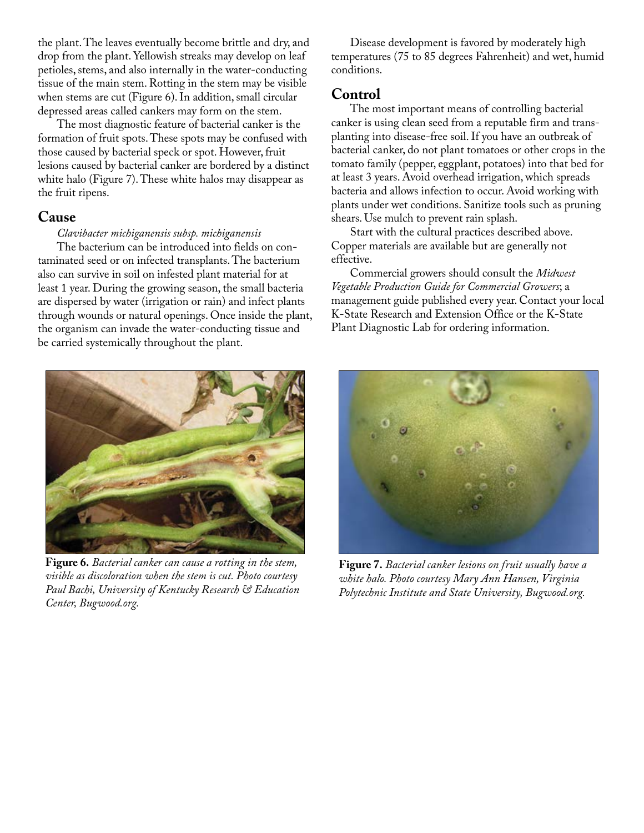the plant. The leaves eventually become brittle and dry, and drop from the plant. Yellowish streaks may develop on leaf petioles, stems, and also internally in the water-conducting tissue of the main stem. Rotting in the stem may be visible when stems are cut (Figure 6). In addition, small circular depressed areas called cankers may form on the stem.

The most diagnostic feature of bacterial canker is the formation of fruit spots. These spots may be confused with those caused by bacterial speck or spot. However, fruit lesions caused by bacterial canker are bordered by a distinct white halo (Figure 7). These white halos may disappear as the fruit ripens.

#### **Cause**

*Clavibacter michiganensis subsp. michiganensis*

The bacterium can be introduced into fields on contaminated seed or on infected transplants. The bacterium also can survive in soil on infested plant material for at least 1 year. During the growing season, the small bacteria are dispersed by water (irrigation or rain) and infect plants through wounds or natural openings. Once inside the plant, the organism can invade the water-conducting tissue and be carried systemically throughout the plant.



**Figure 6.** *Bacterial canker can cause a rotting in the stem, visible as discoloration when the stem is cut. Photo courtesy Paul Bachi, University of Kentucky Research & Education Center, Bugwood.org.*

Disease development is favored by moderately high temperatures (75 to 85 degrees Fahrenheit) and wet, humid conditions.

#### **Control**

The most important means of controlling bacterial canker is using clean seed from a reputable firm and transplanting into disease-free soil. If you have an outbreak of bacterial canker, do not plant tomatoes or other crops in the tomato family (pepper, eggplant, potatoes) into that bed for at least 3 years. Avoid overhead irrigation, which spreads bacteria and allows infection to occur. Avoid working with plants under wet conditions. Sanitize tools such as pruning shears. Use mulch to prevent rain splash.

Start with the cultural practices described above. Copper materials are available but are generally not effective.

Commercial growers should consult the *Midwest Vegetable Production Guide for Commercial Growers*; a management guide published every year. Contact your local K-State Research and Extension Office or the K-State Plant Diagnostic Lab for ordering information.



**Figure 7.** *Bacterial canker lesions on fruit usually have a white halo. Photo courtesy Mary Ann Hansen, Virginia Polytechnic Institute and State University, Bugwood.org.*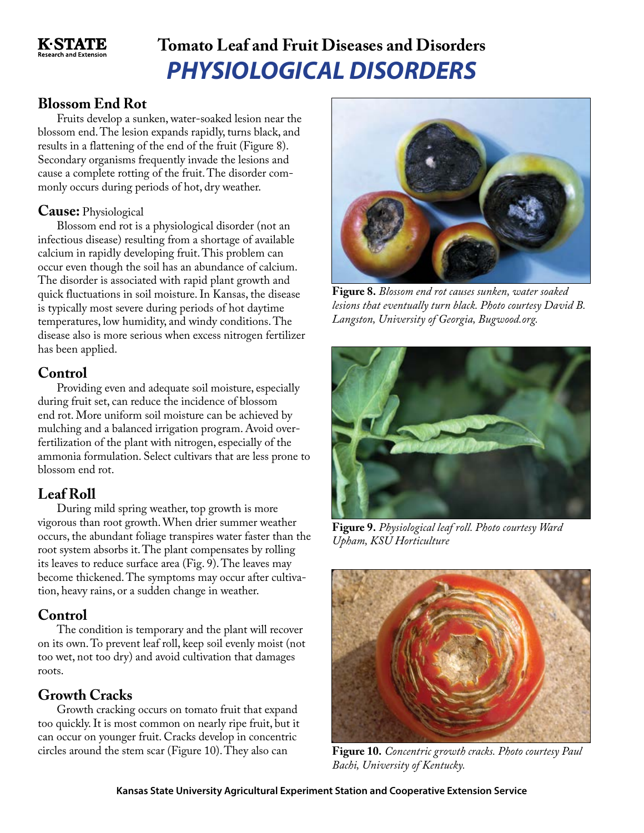

## *PHYSIOLOGICAL DISORDERS* **Tomato Leaf and Fruit Diseases and Disorders**

### **Blossom End Rot**

Fruits develop a sunken, water-soaked lesion near the blossom end. The lesion expands rapidly, turns black, and results in a flattening of the end of the fruit (Figure 8). Secondary organisms frequently invade the lesions and cause a complete rotting of the fruit. The disorder commonly occurs during periods of hot, dry weather.

#### **Cause:** Physiological

Blossom end rot is a physiological disorder (not an infectious disease) resulting from a shortage of available calcium in rapidly developing fruit. This problem can occur even though the soil has an abundance of calcium. The disorder is associated with rapid plant growth and quick fluctuations in soil moisture. In Kansas, the disease is typically most severe during periods of hot daytime temperatures, low humidity, and windy conditions. The disease also is more serious when excess nitrogen fertilizer has been applied.

## **Control**

Providing even and adequate soil moisture, especially during fruit set, can reduce the incidence of blossom end rot. More uniform soil moisture can be achieved by mulching and a balanced irrigation program. Avoid overfertilization of the plant with nitrogen, especially of the ammonia formulation. Select cultivars that are less prone to blossom end rot.

## **Leaf Roll**

During mild spring weather, top growth is more vigorous than root growth. When drier summer weather occurs, the abundant foliage transpires water faster than the root system absorbs it. The plant compensates by rolling its leaves to reduce surface area (Fig. 9). The leaves may become thickened. The symptoms may occur after cultivation, heavy rains, or a sudden change in weather.

## **Control**

The condition is temporary and the plant will recover on its own. To prevent leaf roll, keep soil evenly moist (not too wet, not too dry) and avoid cultivation that damages roots.

## **Growth Cracks**

Growth cracking occurs on tomato fruit that expand too quickly. It is most common on nearly ripe fruit, but it can occur on younger fruit. Cracks develop in concentric circles around the stem scar (Figure 10). They also can



**Figure 8.** *Blossom end rot causes sunken, water soaked lesions that eventually turn black. Photo courtesy David B. Langston, University of Georgia, Bugwood.org.*



**Figure 9.** *Physiological leaf roll. Photo courtesy Ward Upham, KSU Horticulture*



**Figure 10.** *Concentric growth cracks. Photo courtesy Paul Bachi, University of Kentucky.*